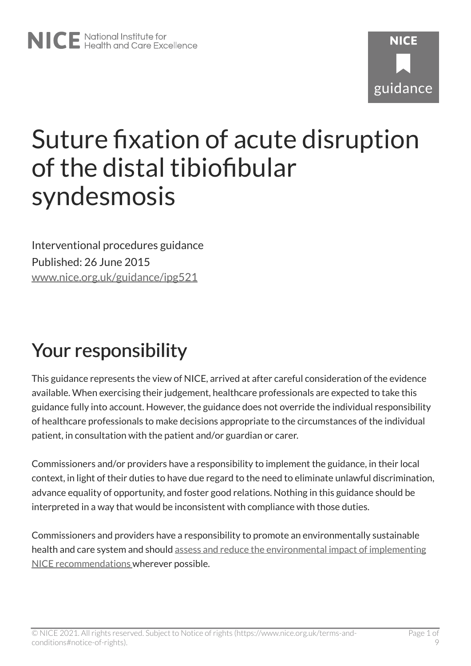# **NICF** guidance

## Suture fixation of acute disruption of the distal tibiofibular syndesmosis

Interventional procedures guidance Published: 26 June 2015 [www.nice.org.uk/guidance/ipg521](https://www.nice.org.uk/guidance/ipg521) 

### Your responsibility

This guidance represents the view of NICE, arrived at after careful consideration of the evidence available. When exercising their judgement, healthcare professionals are expected to take this guidance fully into account. However, the guidance does not override the individual responsibility of healthcare professionals to make decisions appropriate to the circumstances of the individual patient, in consultation with the patient and/or guardian or carer.

Commissioners and/or providers have a responsibility to implement the guidance, in their local context, in light of their duties to have due regard to the need to eliminate unlawful discrimination, advance equality of opportunity, and foster good relations. Nothing in this guidance should be interpreted in a way that would be inconsistent with compliance with those duties.

Commissioners and providers have a responsibility to promote an environmentally sustainable health and care system and should [assess and reduce the environmental impact of implementing](https://www.nice.org.uk/about/who-we-are/sustainability)  [NICE recommendations w](https://www.nice.org.uk/about/who-we-are/sustainability)herever possible.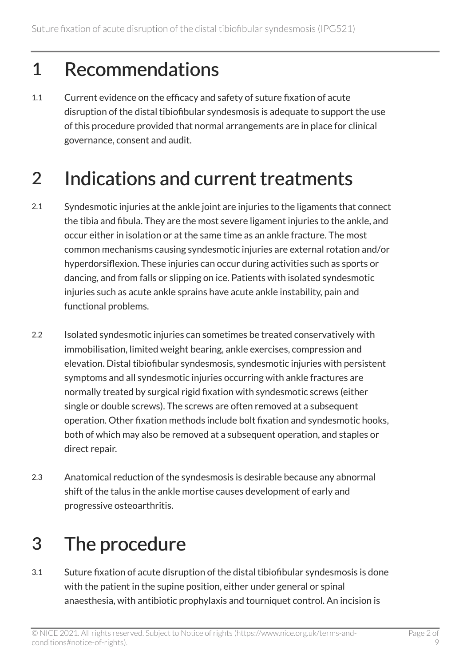#### 1 Recommendations

1.1 Current evidence on the efficacy and safety of suture fixation of acute disruption of the distal tibiofibular syndesmosis is adequate to support the use of this procedure provided that normal arrangements are in place for clinical governance, consent and audit.

#### 2 Indications and current treatments

- 2.1 Syndesmotic injuries at the ankle joint are injuries to the ligaments that connect the tibia and fibula. They are the most severe ligament injuries to the ankle, and occur either in isolation or at the same time as an ankle fracture. The most common mechanisms causing syndesmotic injuries are external rotation and/or hyperdorsiflexion. These injuries can occur during activities such as sports or dancing, and from falls or slipping on ice. Patients with isolated syndesmotic injuries such as acute ankle sprains have acute ankle instability, pain and functional problems.
- 2.2 Isolated syndesmotic injuries can sometimes be treated conservatively with immobilisation, limited weight bearing, ankle exercises, compression and elevation. Distal tibiofibular syndesmosis, syndesmotic injuries with persistent symptoms and all syndesmotic injuries occurring with ankle fractures are normally treated by surgical rigid fixation with syndesmotic screws (either single or double screws). The screws are often removed at a subsequent operation. Other fixation methods include bolt fixation and syndesmotic hooks, both of which may also be removed at a subsequent operation, and staples or direct repair.
- 2.3 Anatomical reduction of the syndesmosis is desirable because any abnormal shift of the talus in the ankle mortise causes development of early and progressive osteoarthritis.

### 3 The procedure

3.1 Suture fixation of acute disruption of the distal tibiofibular syndesmosis is done with the patient in the supine position, either under general or spinal anaesthesia, with antibiotic prophylaxis and tourniquet control. An incision is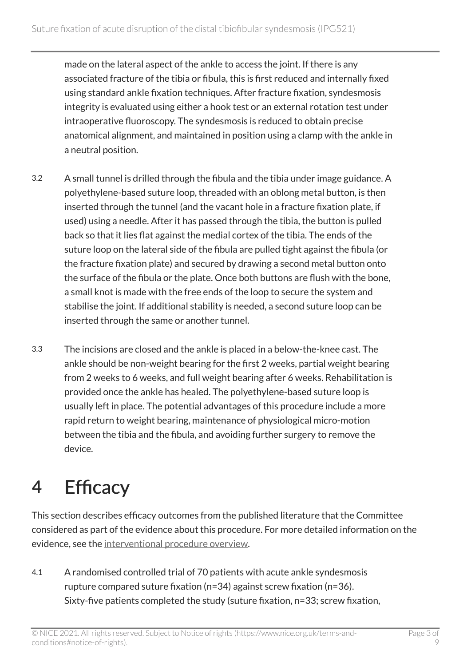made on the lateral aspect of the ankle to access the joint. If there is any associated fracture of the tibia or fibula, this is first reduced and internally fixed using standard ankle fixation techniques. After fracture fixation, syndesmosis integrity is evaluated using either a hook test or an external rotation test under intraoperative fluoroscopy. The syndesmosis is reduced to obtain precise anatomical alignment, and maintained in position using a clamp with the ankle in a neutral position.

- 3.2 A small tunnel is drilled through the fibula and the tibia under image guidance. A polyethylene-based suture loop, threaded with an oblong metal button, is then inserted through the tunnel (and the vacant hole in a fracture fixation plate, if used) using a needle. After it has passed through the tibia, the button is pulled back so that it lies flat against the medial cortex of the tibia. The ends of the suture loop on the lateral side of the fibula are pulled tight against the fibula (or the fracture fixation plate) and secured by drawing a second metal button onto the surface of the fibula or the plate. Once both buttons are flush with the bone, a small knot is made with the free ends of the loop to secure the system and stabilise the joint. If additional stability is needed, a second suture loop can be inserted through the same or another tunnel.
- 3.3 The incisions are closed and the ankle is placed in a below-the-knee cast. The ankle should be non-weight bearing for the first 2 weeks, partial weight bearing from 2 weeks to 6 weeks, and full weight bearing after 6 weeks. Rehabilitation is provided once the ankle has healed. The polyethylene-based suture loop is usually left in place. The potential advantages of this procedure include a more rapid return to weight bearing, maintenance of physiological micro-motion between the tibia and the fibula, and avoiding further surgery to remove the device.

### 4 Efficacy

This section describes efficacy outcomes from the published literature that the Committee considered as part of the evidence about this procedure. For more detailed information on the evidence, see the [interventional procedure overview](http://www.nice.org.uk/Guidance/IPG521/Evidence).

4.1 A randomised controlled trial of 70 patients with acute ankle syndesmosis rupture compared suture fixation (n=34) against screw fixation (n=36). Sixty-five patients completed the study (suture fixation, n=33; screw fixation,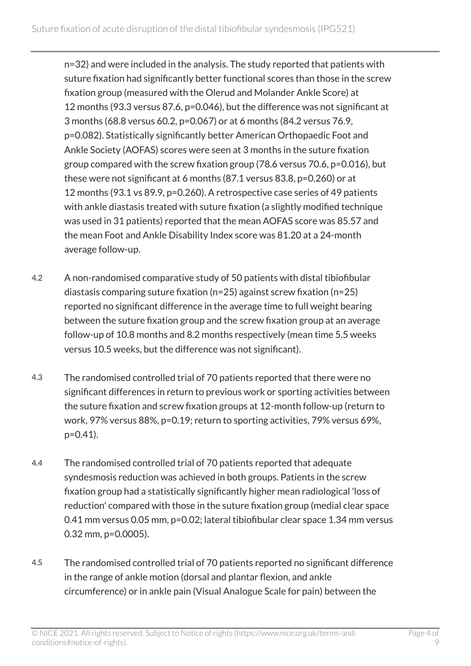n=32) and were included in the analysis. The study reported that patients with suture fixation had significantly better functional scores than those in the screw fixation group (measured with the Olerud and Molander Ankle Score) at 12 months (93.3 versus 87.6, p=0.046), but the difference was not significant at 3 months (68.8 versus 60.2, p=0.067) or at 6 months (84.2 versus 76.9, p=0.082). Statistically significantly better American Orthopaedic Foot and Ankle Society (AOFAS) scores were seen at 3 months in the suture fixation group compared with the screw fixation group (78.6 versus 70.6, p=0.016), but these were not significant at 6 months (87.1 versus 83.8, p=0.260) or at 12 months (93.1 vs 89.9, p=0.260). A retrospective case series of 49 patients with ankle diastasis treated with suture fixation (a slightly modified technique was used in 31 patients) reported that the mean AOFAS score was 85.57 and the mean Foot and Ankle Disability Index score was 81.20 at a 24-month average follow-up.

- 4.2 A non-randomised comparative study of 50 patients with distal tibiofibular diastasis comparing suture fixation (n=25) against screw fixation (n=25) reported no significant difference in the average time to full weight bearing between the suture fixation group and the screw fixation group at an average follow-up of 10.8 months and 8.2 months respectively (mean time 5.5 weeks versus 10.5 weeks, but the difference was not significant).
- 4.3 The randomised controlled trial of 70 patients reported that there were no significant differences in return to previous work or sporting activities between the suture fixation and screw fixation groups at 12-month follow-up (return to work, 97% versus 88%, p=0.19; return to sporting activities, 79% versus 69%, p=0.41).
- 4.4 The randomised controlled trial of 70 patients reported that adequate syndesmosis reduction was achieved in both groups. Patients in the screw fixation group had a statistically significantly higher mean radiological 'loss of reduction' compared with those in the suture fixation group (medial clear space 0.41 mm versus 0.05 mm, p=0.02; lateral tibiofibular clear space 1.34 mm versus 0.32 mm, p=0.0005).
- 4.5 The randomised controlled trial of 70 patients reported no significant difference in the range of ankle motion (dorsal and plantar flexion, and ankle circumference) or in ankle pain (Visual Analogue Scale for pain) between the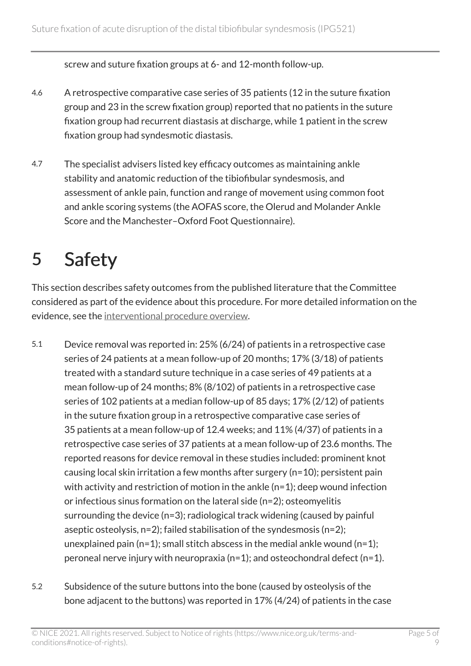screw and suture fixation groups at 6- and 12-month follow-up.

- 4.6 A retrospective comparative case series of 35 patients (12 in the suture fixation group and 23 in the screw fixation group) reported that no patients in the suture fixation group had recurrent diastasis at discharge, while 1 patient in the screw fixation group had syndesmotic diastasis.
- 4.7 The specialist advisers listed key efficacy outcomes as maintaining ankle stability and anatomic reduction of the tibiofibular syndesmosis, and assessment of ankle pain, function and range of movement using common foot and ankle scoring systems (the AOFAS score, the Olerud and Molander Ankle Score and the Manchester–Oxford Foot Questionnaire).

#### 5 Safety

This section describes safety outcomes from the published literature that the Committee considered as part of the evidence about this procedure. For more detailed information on the evidence, see the [interventional procedure overview](http://www.nice.org.uk/Guidance/IPG521/Evidence).

- 5.1 Device removal was reported in: 25% (6/24) of patients in a retrospective case series of 24 patients at a mean follow-up of 20 months; 17% (3/18) of patients treated with a standard suture technique in a case series of 49 patients at a mean follow-up of 24 months; 8% (8/102) of patients in a retrospective case series of 102 patients at a median follow-up of 85 days; 17% (2/12) of patients in the suture fixation group in a retrospective comparative case series of 35 patients at a mean follow-up of 12.4 weeks; and 11% (4/37) of patients in a retrospective case series of 37 patients at a mean follow-up of 23.6 months. The reported reasons for device removal in these studies included: prominent knot causing local skin irritation a few months after surgery (n=10); persistent pain with activity and restriction of motion in the ankle (n=1); deep wound infection or infectious sinus formation on the lateral side (n=2); osteomyelitis surrounding the device (n=3); radiological track widening (caused by painful aseptic osteolysis, n=2); failed stabilisation of the syndesmosis (n=2); unexplained pain (n=1); small stitch abscess in the medial ankle wound (n=1); peroneal nerve injury with neuropraxia (n=1); and osteochondral defect (n=1).
- 5.2 Subsidence of the suture buttons into the bone (caused by osteolysis of the bone adjacent to the buttons) was reported in 17% (4/24) of patients in the case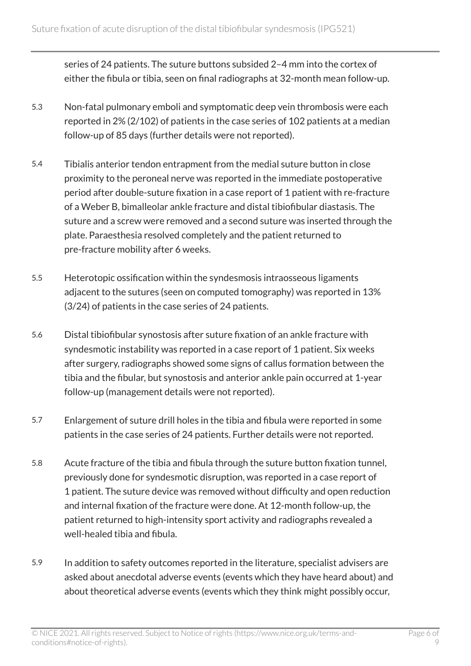series of 24 patients. The suture buttons subsided 2–4 mm into the cortex of either the fibula or tibia, seen on final radiographs at 32-month mean follow-up.

- 5.3 Non-fatal pulmonary emboli and symptomatic deep vein thrombosis were each reported in 2% (2/102) of patients in the case series of 102 patients at a median follow-up of 85 days (further details were not reported).
- 5.4 Tibialis anterior tendon entrapment from the medial suture button in close proximity to the peroneal nerve was reported in the immediate postoperative period after double-suture fixation in a case report of 1 patient with re-fracture of a Weber B, bimalleolar ankle fracture and distal tibiofibular diastasis. The suture and a screw were removed and a second suture was inserted through the plate. Paraesthesia resolved completely and the patient returned to pre-fracture mobility after 6 weeks.
- 5.5 Heterotopic ossification within the syndesmosis intraosseous ligaments adjacent to the sutures (seen on computed tomography) was reported in 13% (3/24) of patients in the case series of 24 patients.
- 5.6 Distal tibiofibular synostosis after suture fixation of an ankle fracture with syndesmotic instability was reported in a case report of 1 patient. Six weeks after surgery, radiographs showed some signs of callus formation between the tibia and the fibular, but synostosis and anterior ankle pain occurred at 1-year follow-up (management details were not reported).
- 5.7 Enlargement of suture drill holes in the tibia and fibula were reported in some patients in the case series of 24 patients. Further details were not reported.
- 5.8 Acute fracture of the tibia and fibula through the suture button fixation tunnel, previously done for syndesmotic disruption, was reported in a case report of 1 patient. The suture device was removed without difficulty and open reduction and internal fixation of the fracture were done. At 12-month follow-up, the patient returned to high-intensity sport activity and radiographs revealed a well-healed tibia and fibula.
- 5.9 In addition to safety outcomes reported in the literature, specialist advisers are asked about anecdotal adverse events (events which they have heard about) and about theoretical adverse events (events which they think might possibly occur,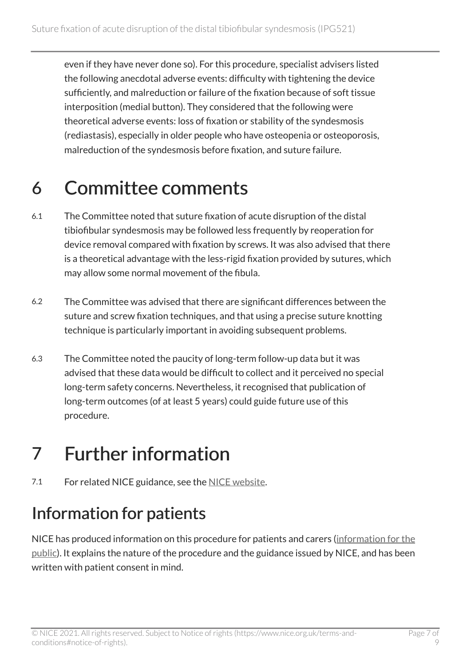even if they have never done so). For this procedure, specialist advisers listed the following anecdotal adverse events: difficulty with tightening the device sufficiently, and malreduction or failure of the fixation because of soft tissue interposition (medial button). They considered that the following were theoretical adverse events: loss of fixation or stability of the syndesmosis (rediastasis), especially in older people who have osteopenia or osteoporosis, malreduction of the syndesmosis before fixation, and suture failure.

#### 6 Committee comments

- 6.1 The Committee noted that suture fixation of acute disruption of the distal tibiofibular syndesmosis may be followed less frequently by reoperation for device removal compared with fixation by screws. It was also advised that there is a theoretical advantage with the less-rigid fixation provided by sutures, which may allow some normal movement of the fibula.
- 6.2 The Committee was advised that there are significant differences between the suture and screw fixation techniques, and that using a precise suture knotting technique is particularly important in avoiding subsequent problems.
- 6.3 The Committee noted the paucity of long-term follow-up data but it was advised that these data would be difficult to collect and it perceived no special long-term safety concerns. Nevertheless, it recognised that publication of long-term outcomes (of at least 5 years) could guide future use of this procedure.

### 7 Further information

7.1 For related NICE guidance, see the [NICE website](http://www.nice.org.uk/).

#### Information for patients

NICE has produced information on this procedure for patients and carers [\(information for the](http://www.nice.org.uk/guidance/IPG521/InformationForPublic) [public\)](http://www.nice.org.uk/guidance/IPG521/InformationForPublic). It explains the nature of the procedure and the guidance issued by NICE, and has been written with patient consent in mind.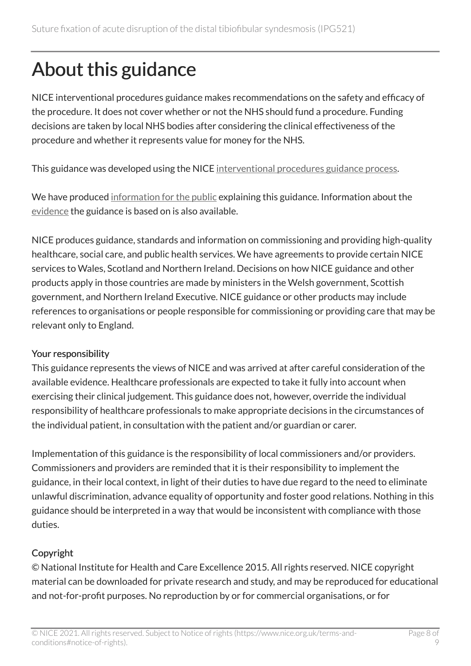### About this guidance

NICE interventional procedures guidance makes recommendations on the safety and efficacy of the procedure. It does not cover whether or not the NHS should fund a procedure. Funding decisions are taken by local NHS bodies after considering the clinical effectiveness of the procedure and whether it represents value for money for the NHS.

This guidance was developed using the NICE [interventional procedures guidance process](https://www.nice.org.uk/About/What-we-do/Our-Programmes/NICE-guidance/NICE-interventional-procedures-guidance).

We have produced [information for the public](http://www.nice.org.uk/guidance/IPG521/InformationForPublic) explaining this guidance. Information about the [evidence](http://www.nice.org.uk/guidance/IPG521/evidence) the guidance is based on is also available.

NICE produces guidance, standards and information on commissioning and providing high-quality healthcare, social care, and public health services. We have agreements to provide certain NICE services to Wales, Scotland and Northern Ireland. Decisions on how NICE guidance and other products apply in those countries are made by ministers in the Welsh government, Scottish government, and Northern Ireland Executive. NICE guidance or other products may include references to organisations or people responsible for commissioning or providing care that may be relevant only to England.

#### Your responsibility

This guidance represents the views of NICE and was arrived at after careful consideration of the available evidence. Healthcare professionals are expected to take it fully into account when exercising their clinical judgement. This guidance does not, however, override the individual responsibility of healthcare professionals to make appropriate decisions in the circumstances of the individual patient, in consultation with the patient and/or guardian or carer.

Implementation of this guidance is the responsibility of local commissioners and/or providers. Commissioners and providers are reminded that it is their responsibility to implement the guidance, in their local context, in light of their duties to have due regard to the need to eliminate unlawful discrimination, advance equality of opportunity and foster good relations. Nothing in this guidance should be interpreted in a way that would be inconsistent with compliance with those duties.

#### Copyright

© National Institute for Health and Care Excellence 2015. All rights reserved. NICE copyright material can be downloaded for private research and study, and may be reproduced for educational and not-for-profit purposes. No reproduction by or for commercial organisations, or for